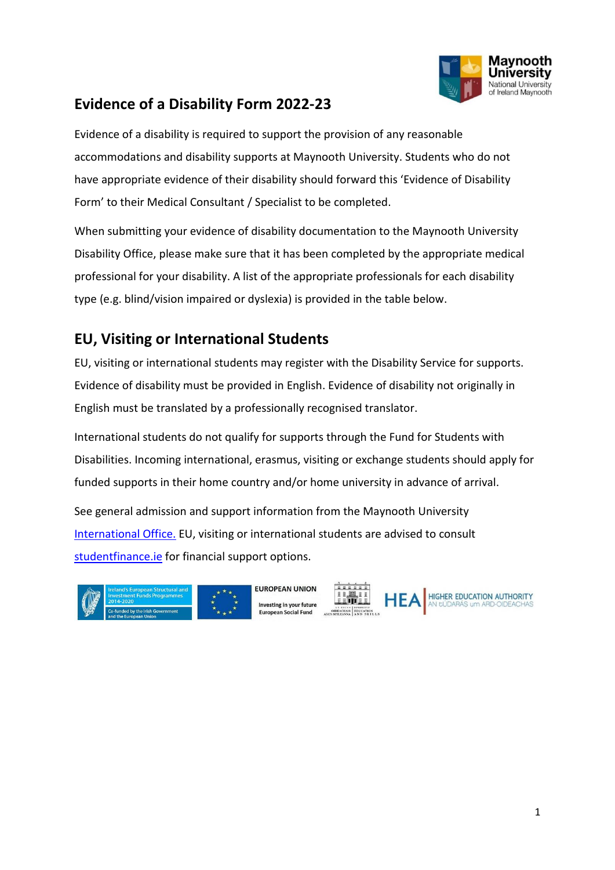

## **Evidence of a Disability Form 2022-23**

Evidence of a disability is required to support the provision of any reasonable accommodations and disability supports at Maynooth University. Students who do not have appropriate evidence of their disability should forward this 'Evidence of Disability Form' to their Medical Consultant / Specialist to be completed.

When submitting your evidence of disability documentation to the Maynooth University Disability Office, please make sure that it has been completed by the appropriate medical professional for your disability. A list of the appropriate professionals for each disability type (e.g. blind/vision impaired or dyslexia) is provided in the table below.

## **EU, Visiting or International Students**

EU, visiting or international students may register with the Disability Service for supports. Evidence of disability must be provided in English. Evidence of disability not originally in English must be translated by a professionally recognised translator.

International students do not qualify for supports through the Fund for Students with Disabilities. Incoming international, erasmus, visiting or exchange students should apply for funded supports in their home country and/or home university in advance of arrival.

See general admission and support information from the Maynooth University [International Office.](https://www.maynoothuniversity.ie/international) EU, visiting or international students are advised to consult [studentfinance.ie](http://www.studentfinance.ie/) for financial support options.







HIGHER EDUCATION AUTHORITY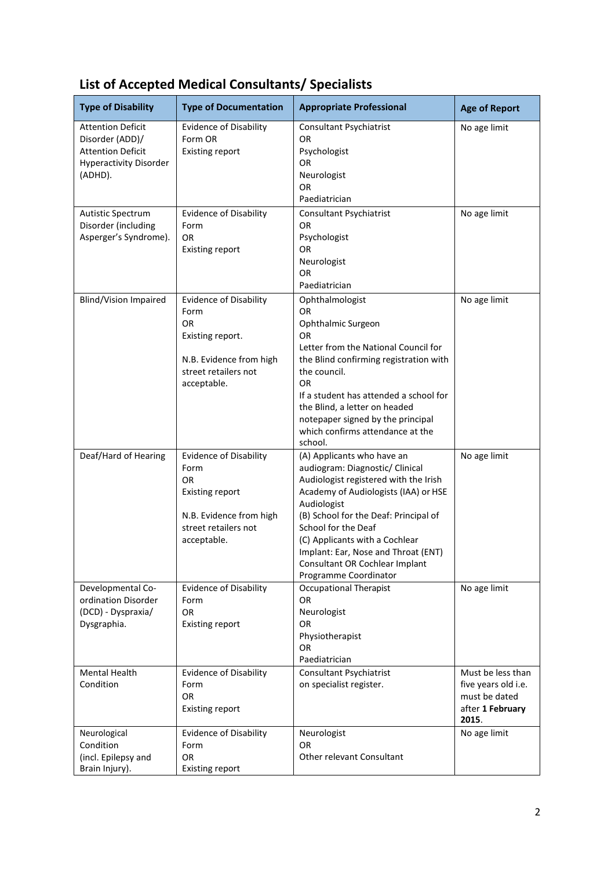| <b>Type of Disability</b>                                                                                           | <b>Type of Documentation</b>                                                                                                                   | <b>Appropriate Professional</b>                                                                                                                                                                                                                                                                                                                                   | <b>Age of Report</b>                                                                   |
|---------------------------------------------------------------------------------------------------------------------|------------------------------------------------------------------------------------------------------------------------------------------------|-------------------------------------------------------------------------------------------------------------------------------------------------------------------------------------------------------------------------------------------------------------------------------------------------------------------------------------------------------------------|----------------------------------------------------------------------------------------|
| <b>Attention Deficit</b><br>Disorder (ADD)/<br><b>Attention Deficit</b><br><b>Hyperactivity Disorder</b><br>(ADHD). | <b>Evidence of Disability</b><br>Form OR<br><b>Existing report</b>                                                                             | <b>Consultant Psychiatrist</b><br>OR.<br>Psychologist<br><b>OR</b><br>Neurologist<br>OR.<br>Paediatrician                                                                                                                                                                                                                                                         | No age limit                                                                           |
| <b>Autistic Spectrum</b><br>Disorder (including<br>Asperger's Syndrome).                                            | <b>Evidence of Disability</b><br>Form<br><b>OR</b><br><b>Existing report</b>                                                                   | <b>Consultant Psychiatrist</b><br><b>OR</b><br>Psychologist<br>0R<br>Neurologist<br><b>OR</b><br>Paediatrician                                                                                                                                                                                                                                                    | No age limit                                                                           |
| <b>Blind/Vision Impaired</b>                                                                                        | <b>Evidence of Disability</b><br>Form<br><b>OR</b><br>Existing report.<br>N.B. Evidence from high<br>street retailers not<br>acceptable.       | Ophthalmologist<br><b>OR</b><br>Ophthalmic Surgeon<br>0R<br>Letter from the National Council for<br>the Blind confirming registration with<br>the council.<br><b>OR</b><br>If a student has attended a school for<br>the Blind, a letter on headed<br>notepaper signed by the principal<br>which confirms attendance at the<br>school.                            | No age limit                                                                           |
| Deaf/Hard of Hearing                                                                                                | <b>Evidence of Disability</b><br>Form<br><b>OR</b><br><b>Existing report</b><br>N.B. Evidence from high<br>street retailers not<br>acceptable. | (A) Applicants who have an<br>audiogram: Diagnostic/ Clinical<br>Audiologist registered with the Irish<br>Academy of Audiologists (IAA) or HSE<br>Audiologist<br>(B) School for the Deaf: Principal of<br>School for the Deaf<br>(C) Applicants with a Cochlear<br>Implant: Ear, Nose and Throat (ENT)<br>Consultant OR Cochlear Implant<br>Programme Coordinator | No age limit                                                                           |
| Developmental Co-<br>ordination Disorder<br>(DCD) - Dyspraxia/<br>Dysgraphia.                                       | <b>Evidence of Disability</b><br>Form<br><b>OR</b><br><b>Existing report</b>                                                                   | <b>Occupational Therapist</b><br>OR<br>Neurologist<br><b>OR</b><br>Physiotherapist<br><b>OR</b><br>Paediatrician                                                                                                                                                                                                                                                  | No age limit                                                                           |
| <b>Mental Health</b><br>Condition                                                                                   | <b>Evidence of Disability</b><br>Form<br><b>OR</b><br><b>Existing report</b>                                                                   | <b>Consultant Psychiatrist</b><br>on specialist register.                                                                                                                                                                                                                                                                                                         | Must be less than<br>five years old i.e.<br>must be dated<br>after 1 February<br>2015. |
| Neurological<br>Condition<br>(incl. Epilepsy and<br>Brain Injury).                                                  | <b>Evidence of Disability</b><br>Form<br><b>OR</b><br><b>Existing report</b>                                                                   | Neurologist<br><b>OR</b><br>Other relevant Consultant                                                                                                                                                                                                                                                                                                             | No age limit                                                                           |

## **List of Accepted Medical Consultants/ Specialists**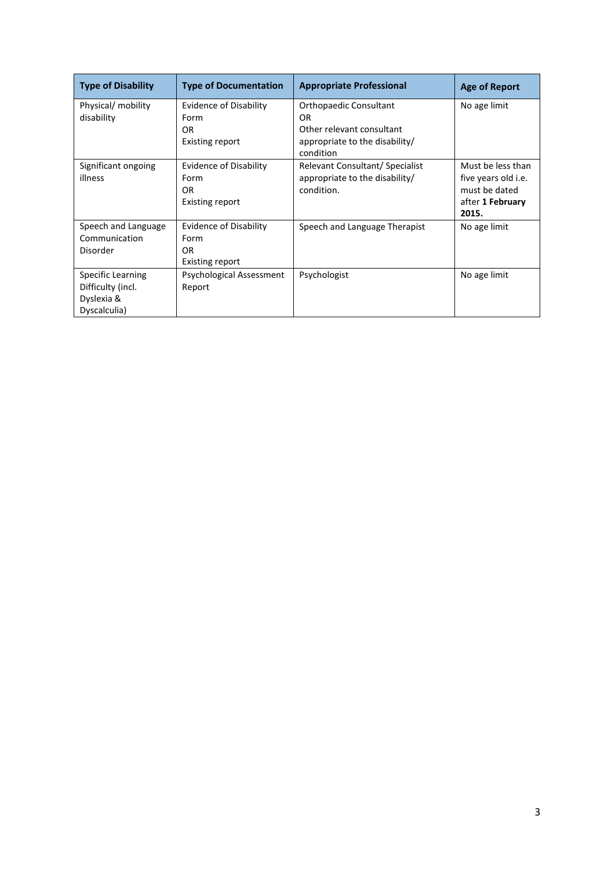| <b>Type of Disability</b> | <b>Type of Documentation</b>  | <b>Appropriate Professional</b>             | <b>Age of Report</b> |
|---------------------------|-------------------------------|---------------------------------------------|----------------------|
| Physical/ mobility        | <b>Evidence of Disability</b> | Orthopaedic Consultant                      | No age limit         |
| disability                | Form                          | <b>OR</b>                                   |                      |
|                           | OR.                           | Other relevant consultant                   |                      |
|                           | Existing report               | appropriate to the disability/<br>condition |                      |
| Significant ongoing       | <b>Evidence of Disability</b> | Relevant Consultant/ Specialist             | Must be less than    |
| illness                   | Form                          | appropriate to the disability/              | five years old i.e.  |
|                           | OR.                           | condition.                                  | must be dated        |
|                           | <b>Existing report</b>        |                                             | after 1 February     |
|                           |                               |                                             | 2015.                |
| Speech and Language       | <b>Evidence of Disability</b> | Speech and Language Therapist               | No age limit         |
| Communication             | Form                          |                                             |                      |
| Disorder                  | OR.                           |                                             |                      |
|                           | Existing report               |                                             |                      |
| <b>Specific Learning</b>  | Psychological Assessment      | Psychologist                                | No age limit         |
| Difficulty (incl.         | Report                        |                                             |                      |
| Dyslexia &                |                               |                                             |                      |
| Dyscalculia)              |                               |                                             |                      |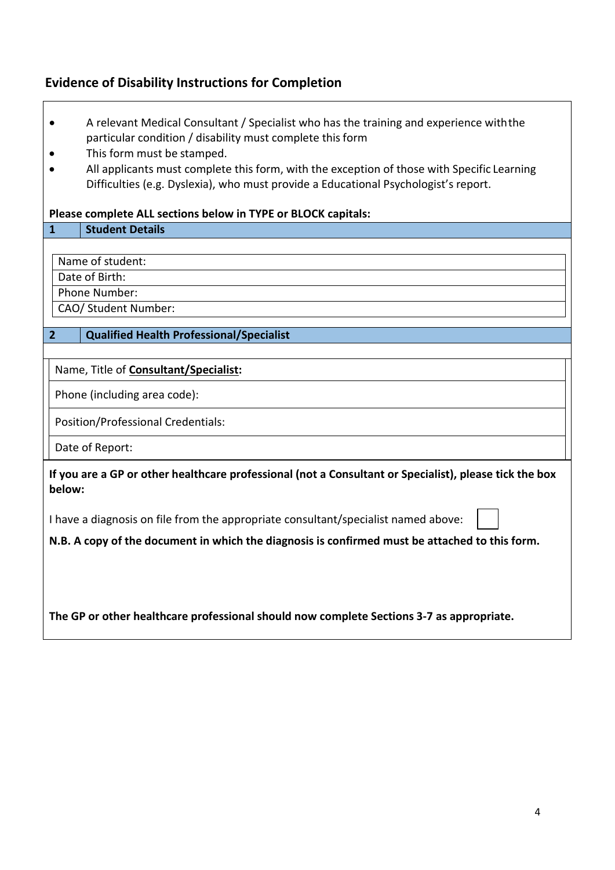## **Evidence of Disability Instructions for Completion**

 $\Gamma$ 

| A relevant Medical Consultant / Specialist who has the training and experience with the                                                                                           |  |  |
|-----------------------------------------------------------------------------------------------------------------------------------------------------------------------------------|--|--|
| particular condition / disability must complete this form                                                                                                                         |  |  |
| This form must be stamped.                                                                                                                                                        |  |  |
| All applicants must complete this form, with the exception of those with Specific Learning<br>Difficulties (e.g. Dyslexia), who must provide a Educational Psychologist's report. |  |  |
|                                                                                                                                                                                   |  |  |
| Please complete ALL sections below in TYPE or BLOCK capitals:                                                                                                                     |  |  |
| <b>Student Details</b><br>$\mathbf{1}$                                                                                                                                            |  |  |
|                                                                                                                                                                                   |  |  |
| Name of student:                                                                                                                                                                  |  |  |
| Date of Birth:                                                                                                                                                                    |  |  |
| Phone Number:                                                                                                                                                                     |  |  |
| CAO/ Student Number:                                                                                                                                                              |  |  |
| <b>Qualified Health Professional/Specialist</b><br>$\overline{2}$                                                                                                                 |  |  |
|                                                                                                                                                                                   |  |  |
| Name, Title of <b>Consultant/Specialist:</b>                                                                                                                                      |  |  |
| Phone (including area code):                                                                                                                                                      |  |  |
| Position/Professional Credentials:                                                                                                                                                |  |  |
| Date of Report:                                                                                                                                                                   |  |  |
| If you are a GP or other healthcare professional (not a Consultant or Specialist), please tick the box<br>below:                                                                  |  |  |
| I have a diagnosis on file from the appropriate consultant/specialist named above:                                                                                                |  |  |
| N.B. A copy of the document in which the diagnosis is confirmed must be attached to this form.                                                                                    |  |  |
|                                                                                                                                                                                   |  |  |
|                                                                                                                                                                                   |  |  |
|                                                                                                                                                                                   |  |  |
| The GP or other healthcare professional should now complete Sections 3-7 as appropriate.                                                                                          |  |  |

٦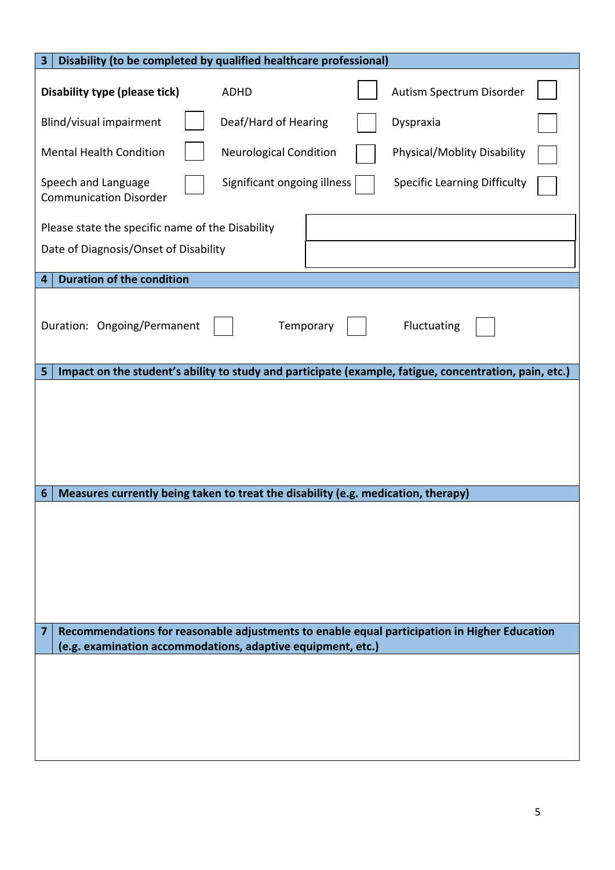| Disability (to be completed by qualified healthcare professional)<br>3                                                                                           |  |  |  |  |  |
|------------------------------------------------------------------------------------------------------------------------------------------------------------------|--|--|--|--|--|
| <b>Disability type (please tick)</b><br>Autism Spectrum Disorder<br><b>ADHD</b>                                                                                  |  |  |  |  |  |
| Blind/visual impairment<br>Deaf/Hard of Hearing<br>Dyspraxia                                                                                                     |  |  |  |  |  |
| Physical/Moblity Disability<br><b>Mental Health Condition</b><br><b>Neurological Condition</b>                                                                   |  |  |  |  |  |
| Significant ongoing illness<br>Speech and Language<br><b>Specific Learning Difficulty</b><br><b>Communication Disorder</b>                                       |  |  |  |  |  |
| Please state the specific name of the Disability<br>Date of Diagnosis/Onset of Disability                                                                        |  |  |  |  |  |
| <b>Duration of the condition</b><br>4                                                                                                                            |  |  |  |  |  |
| Temporary<br>Fluctuating<br>Duration: Ongoing/Permanent                                                                                                          |  |  |  |  |  |
| Impact on the student's ability to study and participate (example, fatigue, concentration, pain, etc.)<br>5                                                      |  |  |  |  |  |
|                                                                                                                                                                  |  |  |  |  |  |
| Measures currently being taken to treat the disability (e.g. medication, therapy)<br>6                                                                           |  |  |  |  |  |
|                                                                                                                                                                  |  |  |  |  |  |
| Recommendations for reasonable adjustments to enable equal participation in Higher Education<br>7<br>(e.g. examination accommodations, adaptive equipment, etc.) |  |  |  |  |  |
|                                                                                                                                                                  |  |  |  |  |  |